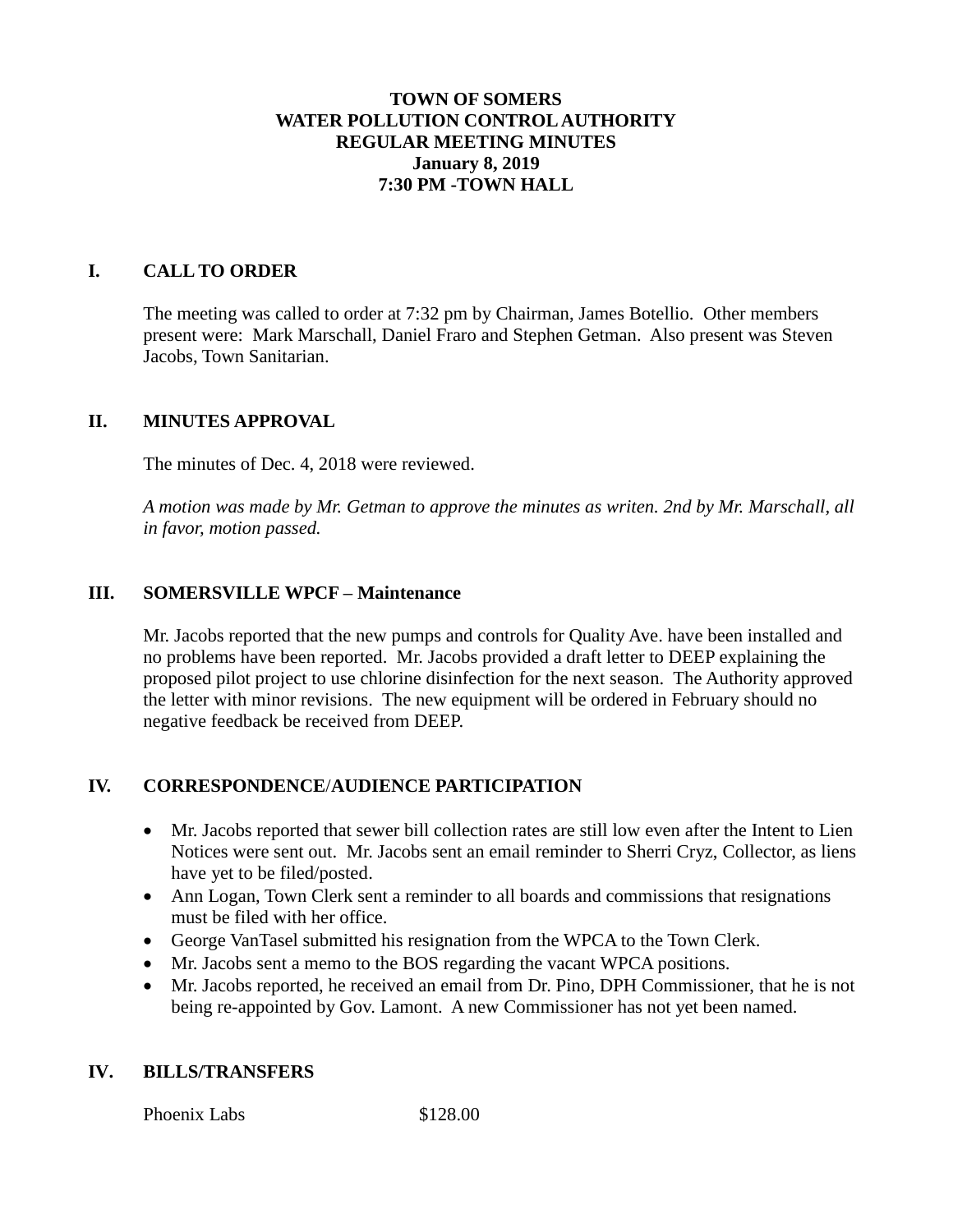### **TOWN OF SOMERS WATER POLLUTION CONTROL AUTHORITY REGULAR MEETING MINUTES January 8, 2019 7:30 PM -TOWN HALL**

### **I. CALL TO ORDER**

The meeting was called to order at 7:32 pm by Chairman, James Botellio. Other members present were: Mark Marschall, Daniel Fraro and Stephen Getman. Also present was Steven Jacobs, Town Sanitarian.

### **II. MINUTES APPROVAL**

The minutes of Dec. 4, 2018 were reviewed.

*A motion was made by Mr. Getman to approve the minutes as writen. 2nd by Mr. Marschall, all in favor, motion passed.*

### **III. SOMERSVILLE WPCF – Maintenance**

Mr. Jacobs reported that the new pumps and controls for Quality Ave. have been installed and no problems have been reported. Mr. Jacobs provided a draft letter to DEEP explaining the proposed pilot project to use chlorine disinfection for the next season. The Authority approved the letter with minor revisions. The new equipment will be ordered in February should no negative feedback be received from DEEP.

## **IV. CORRESPONDENCE**/**AUDIENCE PARTICIPATION**

- Mr. Jacobs reported that sewer bill collection rates are still low even after the Intent to Lien Notices were sent out. Mr. Jacobs sent an email reminder to Sherri Cryz, Collector, as liens have yet to be filed/posted.
- Ann Logan, Town Clerk sent a reminder to all boards and commissions that resignations must be filed with her office.
- George VanTasel submitted his resignation from the WPCA to the Town Clerk.
- Mr. Jacobs sent a memo to the BOS regarding the vacant WPCA positions.
- Mr. Jacobs reported, he received an email from Dr. Pino, DPH Commissioner, that he is not being re-appointed by Gov. Lamont. A new Commissioner has not yet been named.

#### **IV. BILLS/TRANSFERS**

Phoenix Labs \$128.00